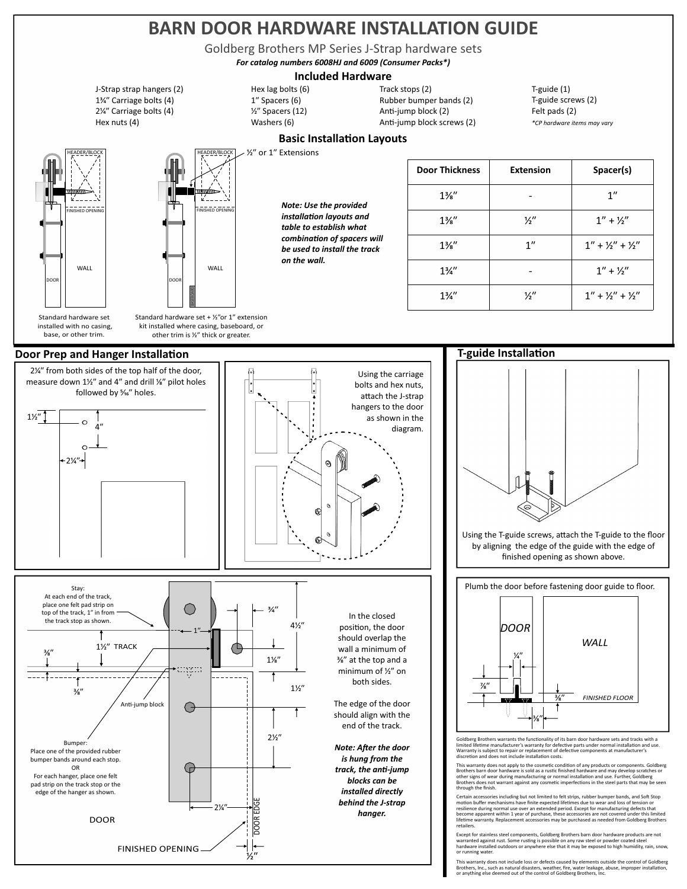# BARN DOOR HARDWARE INSTALLATION GUIDE

Goldberg Brothers (VIP-Series J-Strap hardware sets in an individual block was healing block screws (20) Hex n Goldberg Brothers MP Series J-Strap hardware sets

*For catalog numbers 6008HJ and 6009 (Consumer Packs\*)*

### **Included Hardware**

Hex nuts (4) J-Strap strap hangers (2) 1<sup>3</sup>⁄4" Carriage bolts (4) 2<sup>/4</sup> Carriage bolts (4)



HEADER/BLOCK FINISHED OPENING FINISHED OPENING WALL WALL

Standard hardware set installed with no casing, base, or other trim.



### **Door Prep and Hanger Installation**



Anti-jump block screws (2) Rubber bumper bands (2) Track stops (2) Anti-jump block (2)

T-guide (1) T-guide screws (2) Felt pads (2) *\*CP hardware items may vary*

# **Basic Installation Layouts**

 $·$  1'' Extensions

Washers (6) ⁄ʺ Spacers (12) Hex lag bolts (6) 1" Spacers (6)

> *Note: Use the provided installation layouts and table to establish what*   $combination of spaces will$ *be used to install the track*

| <b>Door Thickness</b> | <b>Extension</b> | Spacer(s)             |
|-----------------------|------------------|-----------------------|
| $1\frac{3}{8}$ "      |                  | 1''                   |
| $1\frac{3}{8}$ "      | $\frac{1}{2}$    | $1'' + 1''$           |
| $1\frac{3}{8}$ "      | 1''              | $1'' + 1/2'' + 1/2''$ |
| $1\frac{3}{4}$        |                  | $1'' + 1''$           |
| $1\frac{3}{4}$        | 1⁄2″             | $1'' + 1/2'' + 1/2''$ |



## **T-guide Installation**



Using the T-guide screws, attach the T-guide to the floor by aligning the edge of the guide with the edge of finished opening as shown above.

Plumb the door before fastening door guide to floor.



Goldberg Brothers warrants the functionality of its barn door hardware sets and tracks with a limited lifetime manufacturer's warranty for defective parts under normal installation and use. Warranty is subject to repair or replacement of defective components at manufacturer's discretion and does not include installation costs.

discretion and does not include installation costs.<br>This warranty does not apply to the cosmetic condition of any products or components. Goldberg<br>Brothers barn door hardware is sold as a rustic finished hardware and may d

Certain accessories including but not limited to felt strips, rubber bumper bands, and Soft Stop<br>emotion buffer mechanisms have finite expected lifetimes due to wear and loss of tension or<br>resilience during normal use over retailers.

Except for stainless steel components, Goldberg Brothers barn door hardware products are not<br>warranted against rust. Some rusting is possible on any raw steel or powder coated steel<br>hardware installed outdoors or anywhere or running water.

This warranty does not include loss or defects caused by elements outside the control of Goldberg<br>Brothers, Inc., such as natural disasters, weather, fire, water leakage, abuse, improper installation,<br>or anything else deem